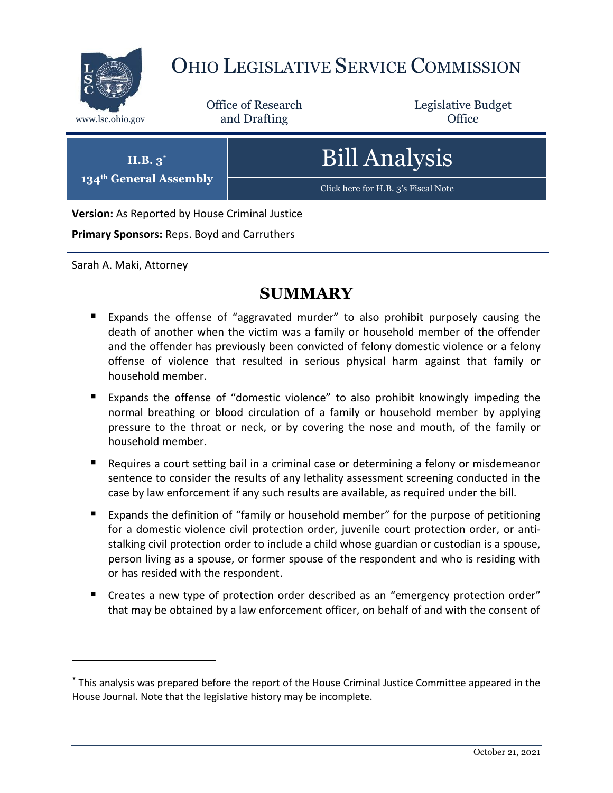

# OHIO LEGISLATIVE SERVICE COMMISSION

Office of Research www.lsc.ohio.gov **and Drafting Office** 

Legislative Budget

| $H.B.3^*$                     |  |
|-------------------------------|--|
|                               |  |
| <b>134th General Assembly</b> |  |

Bill Analysis

[Click here for H.B. 3's Fiscal Note](https://www.legislature.ohio.gov/legislation/legislation-documents?id=GA134-HB-3)

**Version:** As Reported by House Criminal Justice

**Primary Sponsors:** Reps. Boyd and Carruthers

Sarah A. Maki, Attorney

 $\overline{a}$ 

# **SUMMARY**

- Expands the offense of "aggravated murder" to also prohibit purposely causing the death of another when the victim was a family or household member of the offender and the offender has previously been convicted of felony domestic violence or a felony offense of violence that resulted in serious physical harm against that family or household member.
- Expands the offense of "domestic violence" to also prohibit knowingly impeding the normal breathing or blood circulation of a family or household member by applying pressure to the throat or neck, or by covering the nose and mouth, of the family or household member.
- Requires a court setting bail in a criminal case or determining a felony or misdemeanor sentence to consider the results of any lethality assessment screening conducted in the case by law enforcement if any such results are available, as required under the bill.
- Expands the definition of "family or household member" for the purpose of petitioning for a domestic violence civil protection order, juvenile court protection order, or antistalking civil protection order to include a child whose guardian or custodian is a spouse, person living as a spouse, or former spouse of the respondent and who is residing with or has resided with the respondent.
- Creates a new type of protection order described as an "emergency protection order" that may be obtained by a law enforcement officer, on behalf of and with the consent of

<sup>\*</sup> This analysis was prepared before the report of the House Criminal Justice Committee appeared in the House Journal. Note that the legislative history may be incomplete.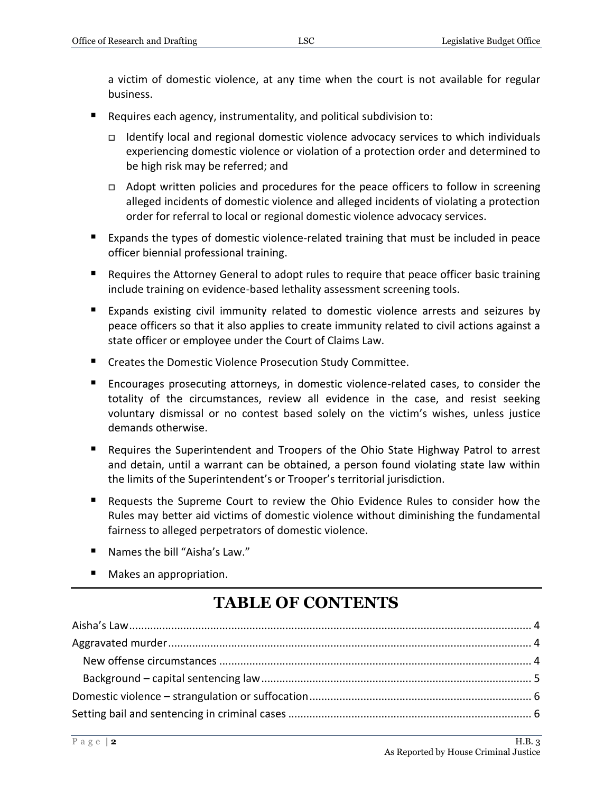a victim of domestic violence, at any time when the court is not available for regular business.

- Requires each agency, instrumentality, and political subdivision to:
	- □ Identify local and regional domestic violence advocacy services to which individuals experiencing domestic violence or violation of a protection order and determined to be high risk may be referred; and
	- $\Box$  Adopt written policies and procedures for the peace officers to follow in screening alleged incidents of domestic violence and alleged incidents of violating a protection order for referral to local or regional domestic violence advocacy services.
- Expands the types of domestic violence-related training that must be included in peace officer biennial professional training.
- Requires the Attorney General to adopt rules to require that peace officer basic training include training on evidence-based lethality assessment screening tools.
- Expands existing civil immunity related to domestic violence arrests and seizures by peace officers so that it also applies to create immunity related to civil actions against a state officer or employee under the Court of Claims Law.
- **E** Creates the Domestic Violence Prosecution Study Committee.
- Encourages prosecuting attorneys, in domestic violence-related cases, to consider the totality of the circumstances, review all evidence in the case, and resist seeking voluntary dismissal or no contest based solely on the victim's wishes, unless justice demands otherwise.
- Requires the Superintendent and Troopers of the Ohio State Highway Patrol to arrest and detain, until a warrant can be obtained, a person found violating state law within the limits of the Superintendent's or Trooper's territorial jurisdiction.
- Requests the Supreme Court to review the Ohio Evidence Rules to consider how the Rules may better aid victims of domestic violence without diminishing the fundamental fairness to alleged perpetrators of domestic violence.
- Names the bill "Aisha's Law."
- Makes an appropriation.

# **TABLE OF CONTENTS**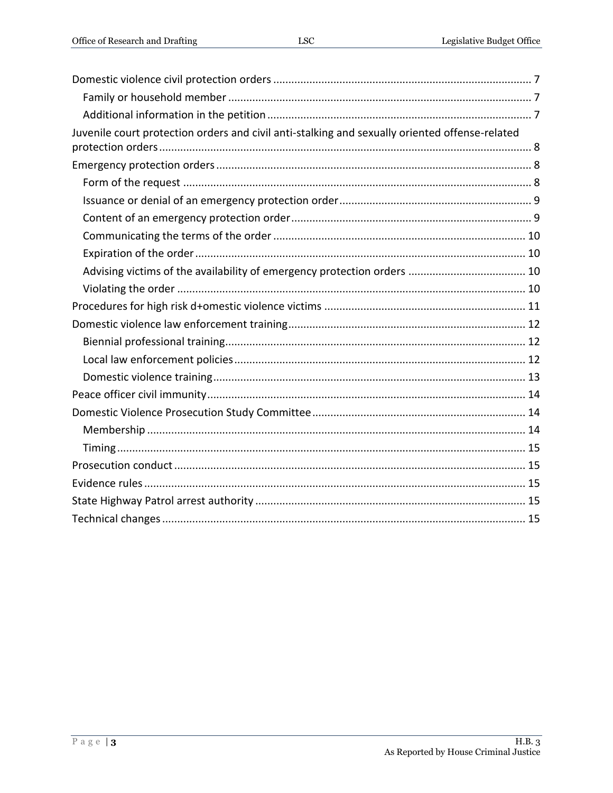| Juvenile court protection orders and civil anti-stalking and sexually oriented offense-related |
|------------------------------------------------------------------------------------------------|
|                                                                                                |
|                                                                                                |
|                                                                                                |
|                                                                                                |
|                                                                                                |
|                                                                                                |
|                                                                                                |
|                                                                                                |
|                                                                                                |
|                                                                                                |
|                                                                                                |
|                                                                                                |
|                                                                                                |
|                                                                                                |
|                                                                                                |
|                                                                                                |
|                                                                                                |
|                                                                                                |
|                                                                                                |
|                                                                                                |
|                                                                                                |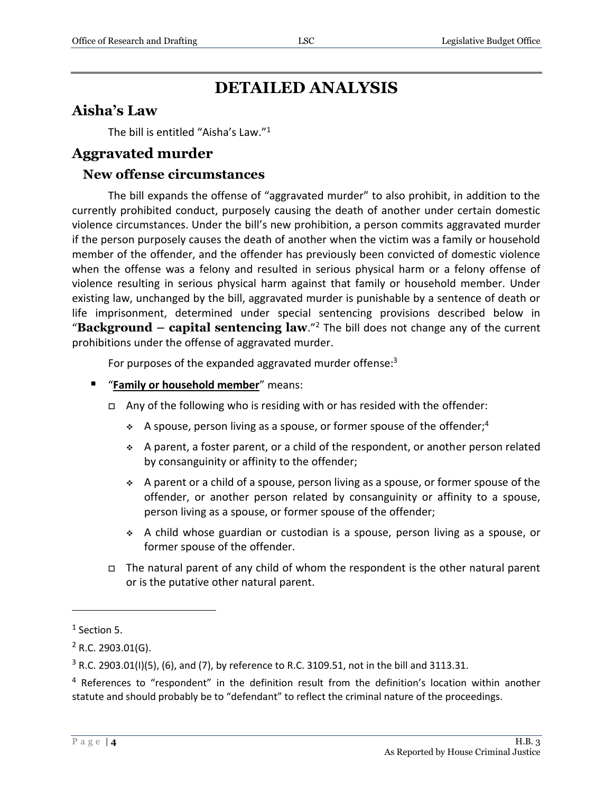# **DETAILED ANALYSIS**

#### <span id="page-3-0"></span>**Aisha's Law**

The bill is entitled "Aisha's Law."<sup>1</sup>

#### <span id="page-3-1"></span>**Aggravated murder**

#### <span id="page-3-2"></span>**New offense circumstances**

The bill expands the offense of "aggravated murder" to also prohibit, in addition to the currently prohibited conduct, purposely causing the death of another under certain domestic violence circumstances. Under the bill's new prohibition, a person commits aggravated murder if the person purposely causes the death of another when the victim was a family or household member of the offender, and the offender has previously been convicted of domestic violence when the offense was a felony and resulted in serious physical harm or a felony offense of violence resulting in serious physical harm against that family or household member. Under existing law, unchanged by the bill, aggravated murder is punishable by a sentence of death or life imprisonment, determined under special sentencing provisions described below in "**Background – capital sentencing law**." <sup>2</sup> The bill does not change any of the current prohibitions under the offense of aggravated murder.

For purposes of the expanded aggravated murder offense:<sup>3</sup>

- "**Family or household member**" means:
	- $\Box$  Any of the following who is residing with or has resided with the offender:
		- A spouse, person living as a spouse, or former spouse of the offender;<sup>4</sup>
		- $\div$  A parent, a foster parent, or a child of the respondent, or another person related by consanguinity or affinity to the offender;
		- $\div$  A parent or a child of a spouse, person living as a spouse, or former spouse of the offender, or another person related by consanguinity or affinity to a spouse, person living as a spouse, or former spouse of the offender;
		- A child whose guardian or custodian is a spouse, person living as a spouse, or former spouse of the offender.
	- $\Box$  The natural parent of any child of whom the respondent is the other natural parent or is the putative other natural parent.

 $<sup>1</sup>$  Section 5.</sup>

 $2$  R.C. 2903.01(G).

 $3$  R.C. 2903.01(I)(5), (6), and (7), by reference to R.C. 3109.51, not in the bill and 3113.31.

<sup>&</sup>lt;sup>4</sup> References to "respondent" in the definition result from the definition's location within another statute and should probably be to "defendant" to reflect the criminal nature of the proceedings.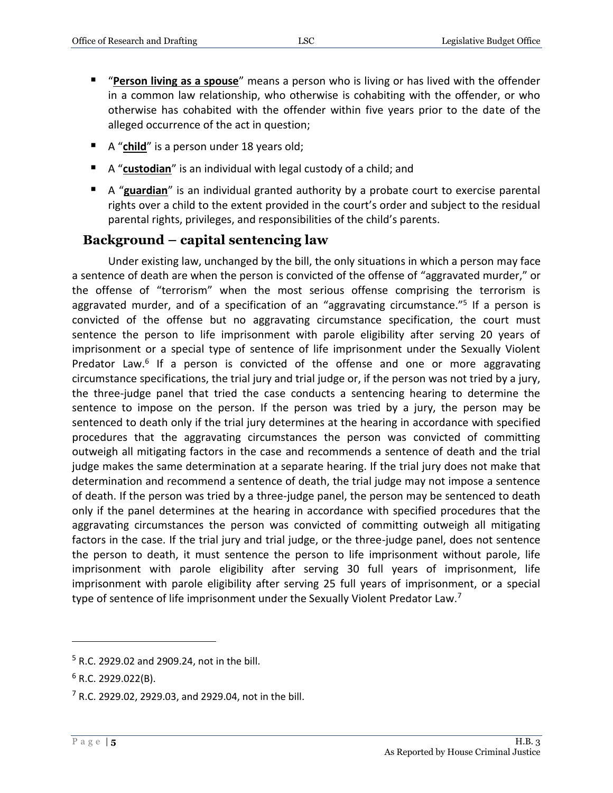- "**Person living as a spouse**" means a person who is living or has lived with the offender in a common law relationship, who otherwise is cohabiting with the offender, or who otherwise has cohabited with the offender within five years prior to the date of the alleged occurrence of the act in question;
- A "**child**" is a person under 18 years old;
- A "**custodian**" is an individual with legal custody of a child; and
- A "**guardian**" is an individual granted authority by a probate court to exercise parental rights over a child to the extent provided in the court's order and subject to the residual parental rights, privileges, and responsibilities of the child's parents.

#### <span id="page-4-0"></span>**Background – capital sentencing law**

Under existing law, unchanged by the bill, the only situations in which a person may face a sentence of death are when the person is convicted of the offense of "aggravated murder," or the offense of "terrorism" when the most serious offense comprising the terrorism is aggravated murder, and of a specification of an "aggravating circumstance."<sup>5</sup> If a person is convicted of the offense but no aggravating circumstance specification, the court must sentence the person to life imprisonment with parole eligibility after serving 20 years of imprisonment or a special type of sentence of life imprisonment under the Sexually Violent Predator Law.<sup>6</sup> If a person is convicted of the offense and one or more aggravating circumstance specifications, the trial jury and trial judge or, if the person was not tried by a jury, the three-judge panel that tried the case conducts a sentencing hearing to determine the sentence to impose on the person. If the person was tried by a jury, the person may be sentenced to death only if the trial jury determines at the hearing in accordance with specified procedures that the aggravating circumstances the person was convicted of committing outweigh all mitigating factors in the case and recommends a sentence of death and the trial judge makes the same determination at a separate hearing. If the trial jury does not make that determination and recommend a sentence of death, the trial judge may not impose a sentence of death. If the person was tried by a three-judge panel, the person may be sentenced to death only if the panel determines at the hearing in accordance with specified procedures that the aggravating circumstances the person was convicted of committing outweigh all mitigating factors in the case. If the trial jury and trial judge, or the three-judge panel, does not sentence the person to death, it must sentence the person to life imprisonment without parole, life imprisonment with parole eligibility after serving 30 full years of imprisonment, life imprisonment with parole eligibility after serving 25 full years of imprisonment, or a special type of sentence of life imprisonment under the Sexually Violent Predator Law.<sup>7</sup>

<sup>5</sup> R.C. 2929.02 and 2909.24, not in the bill.

 $6$  R.C. 2929.022(B).

 $7$  R.C. 2929.02, 2929.03, and 2929.04, not in the bill.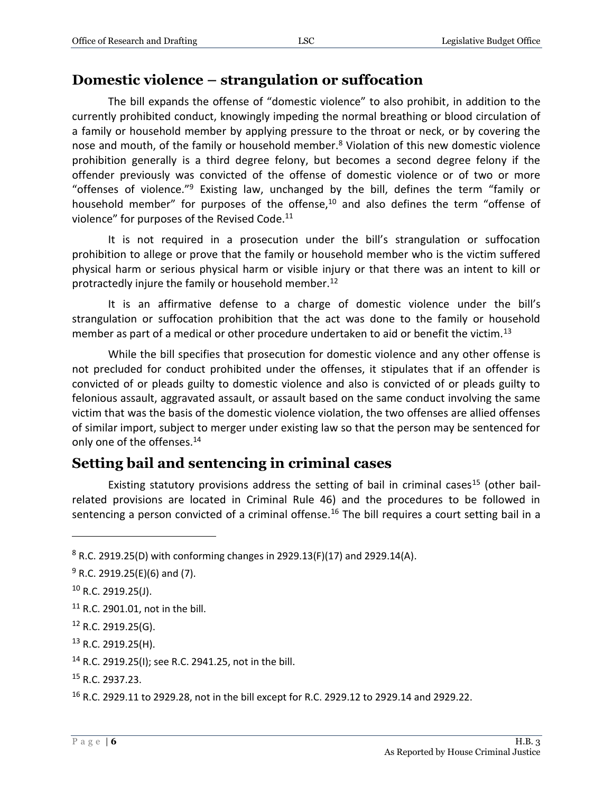#### <span id="page-5-0"></span>**Domestic violence – strangulation or suffocation**

The bill expands the offense of "domestic violence" to also prohibit, in addition to the currently prohibited conduct, knowingly impeding the normal breathing or blood circulation of a family or household member by applying pressure to the throat or neck, or by covering the nose and mouth, of the family or household member. $8$  Violation of this new domestic violence prohibition generally is a third degree felony, but becomes a second degree felony if the offender previously was convicted of the offense of domestic violence or of two or more "offenses of violence."<sup>9</sup> Existing law, unchanged by the bill, defines the term "family or household member" for purposes of the offense,<sup>10</sup> and also defines the term "offense of violence" for purposes of the Revised Code.<sup>11</sup>

It is not required in a prosecution under the bill's strangulation or suffocation prohibition to allege or prove that the family or household member who is the victim suffered physical harm or serious physical harm or visible injury or that there was an intent to kill or protractedly injure the family or household member.<sup>12</sup>

It is an affirmative defense to a charge of domestic violence under the bill's strangulation or suffocation prohibition that the act was done to the family or household member as part of a medical or other procedure undertaken to aid or benefit the victim.<sup>13</sup>

While the bill specifies that prosecution for domestic violence and any other offense is not precluded for conduct prohibited under the offenses, it stipulates that if an offender is convicted of or pleads guilty to domestic violence and also is convicted of or pleads guilty to felonious assault, aggravated assault, or assault based on the same conduct involving the same victim that was the basis of the domestic violence violation, the two offenses are allied offenses of similar import, subject to merger under existing law so that the person may be sentenced for only one of the offenses.<sup>14</sup>

### <span id="page-5-1"></span>**Setting bail and sentencing in criminal cases**

Existing statutory provisions address the setting of bail in criminal cases<sup>15</sup> (other bailrelated provisions are located in Criminal Rule 46) and the procedures to be followed in sentencing a person convicted of a criminal offense.<sup>16</sup> The bill requires a court setting bail in a

 $\overline{a}$ 

<sup>13</sup> R.C. 2919.25(H).

<sup>15</sup> R.C. 2937.23.

 $8$  R.C. 2919.25(D) with conforming changes in 2929.13(F)(17) and 2929.14(A).

 $9$  R.C. 2919.25(E)(6) and (7).

 $10$  R.C. 2919.25(J).

<sup>11</sup> R.C. 2901.01, not in the bill.

<sup>12</sup> R.C. 2919.25(G).

<sup>14</sup> R.C. 2919.25(I); see R.C. 2941.25, not in the bill.

<sup>16</sup> R.C. 2929.11 to 2929.28, not in the bill except for R.C. 2929.12 to 2929.14 and 2929.22.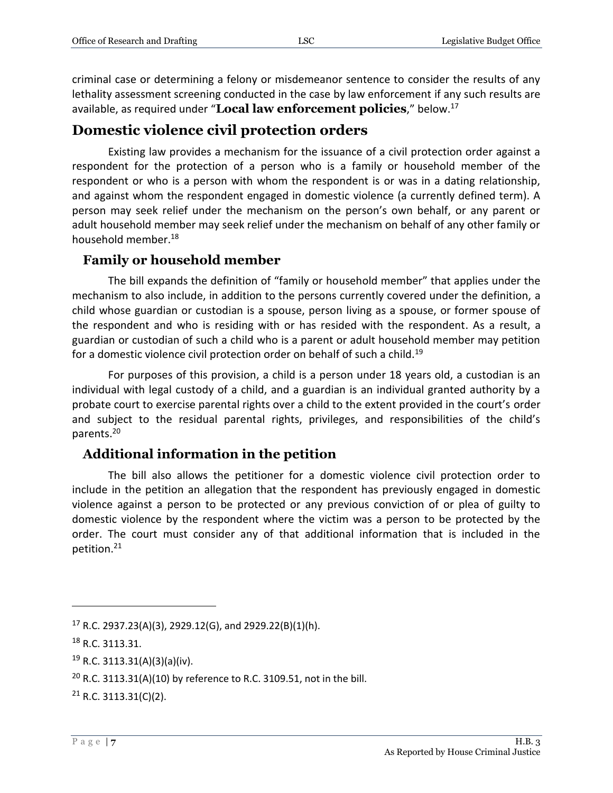criminal case or determining a felony or misdemeanor sentence to consider the results of any lethality assessment screening conducted in the case by law enforcement if any such results are available, as required under "**Local law enforcement policies**," below.<sup>17</sup>

#### <span id="page-6-0"></span>**Domestic violence civil protection orders**

Existing law provides a mechanism for the issuance of a civil protection order against a respondent for the protection of a person who is a family or household member of the respondent or who is a person with whom the respondent is or was in a dating relationship, and against whom the respondent engaged in domestic violence (a currently defined term). A person may seek relief under the mechanism on the person's own behalf, or any parent or adult household member may seek relief under the mechanism on behalf of any other family or household member.<sup>18</sup>

#### <span id="page-6-1"></span>**Family or household member**

The bill expands the definition of "family or household member" that applies under the mechanism to also include, in addition to the persons currently covered under the definition, a child whose guardian or custodian is a spouse, person living as a spouse, or former spouse of the respondent and who is residing with or has resided with the respondent. As a result, a guardian or custodian of such a child who is a parent or adult household member may petition for a domestic violence civil protection order on behalf of such a child.<sup>19</sup>

For purposes of this provision, a child is a person under 18 years old, a custodian is an individual with legal custody of a child, and a guardian is an individual granted authority by a probate court to exercise parental rights over a child to the extent provided in the court's order and subject to the residual parental rights, privileges, and responsibilities of the child's parents.<sup>20</sup>

#### <span id="page-6-2"></span>**Additional information in the petition**

The bill also allows the petitioner for a domestic violence civil protection order to include in the petition an allegation that the respondent has previously engaged in domestic violence against a person to be protected or any previous conviction of or plea of guilty to domestic violence by the respondent where the victim was a person to be protected by the order. The court must consider any of that additional information that is included in the petition.<sup>21</sup>

<sup>&</sup>lt;sup>17</sup> R.C. 2937.23(A)(3), 2929.12(G), and 2929.22(B)(1)(h).

<sup>18</sup> R.C. 3113.31.

<sup>19</sup> R.C. 3113.31(A)(3)(a)(iv).

<sup>&</sup>lt;sup>20</sup> R.C. 3113.31(A)(10) by reference to R.C. 3109.51, not in the bill.

 $21$  R.C. 3113.31(C)(2).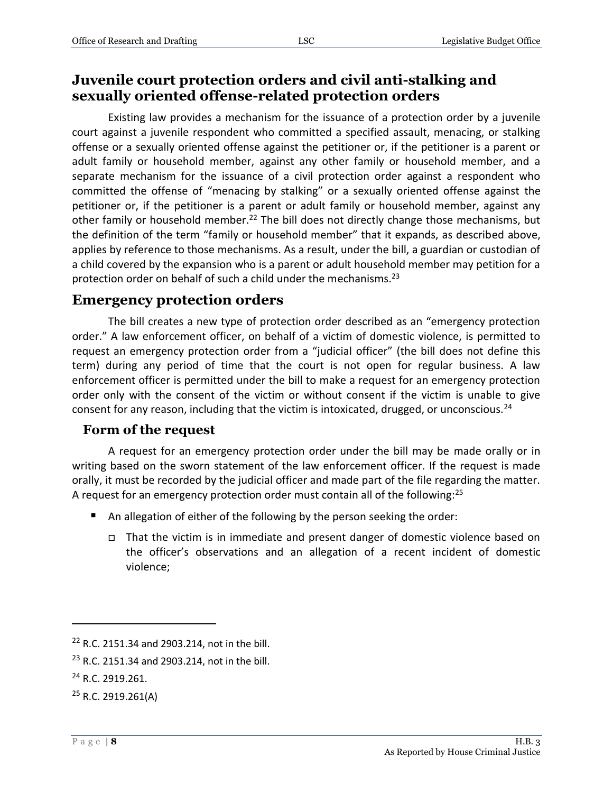### <span id="page-7-0"></span>**Juvenile court protection orders and civil anti-stalking and sexually oriented offense-related protection orders**

Existing law provides a mechanism for the issuance of a protection order by a juvenile court against a juvenile respondent who committed a specified assault, menacing, or stalking offense or a sexually oriented offense against the petitioner or, if the petitioner is a parent or adult family or household member, against any other family or household member, and a separate mechanism for the issuance of a civil protection order against a respondent who committed the offense of "menacing by stalking" or a sexually oriented offense against the petitioner or, if the petitioner is a parent or adult family or household member, against any other family or household member.<sup>22</sup> The bill does not directly change those mechanisms, but the definition of the term "family or household member" that it expands, as described above, applies by reference to those mechanisms. As a result, under the bill, a guardian or custodian of a child covered by the expansion who is a parent or adult household member may petition for a protection order on behalf of such a child under the mechanisms.<sup>23</sup>

#### <span id="page-7-1"></span>**Emergency protection orders**

The bill creates a new type of protection order described as an "emergency protection order." A law enforcement officer, on behalf of a victim of domestic violence, is permitted to request an emergency protection order from a "judicial officer" (the bill does not define this term) during any period of time that the court is not open for regular business. A law enforcement officer is permitted under the bill to make a request for an emergency protection order only with the consent of the victim or without consent if the victim is unable to give consent for any reason, including that the victim is intoxicated, drugged, or unconscious.<sup>24</sup>

#### <span id="page-7-2"></span>**Form of the request**

A request for an emergency protection order under the bill may be made orally or in writing based on the sworn statement of the law enforcement officer. If the request is made orally, it must be recorded by the judicial officer and made part of the file regarding the matter. A request for an emergency protection order must contain all of the following:<sup>25</sup>

- An allegation of either of the following by the person seeking the order:
	- That the victim is in immediate and present danger of domestic violence based on the officer's observations and an allegation of a recent incident of domestic violence;

<sup>22</sup> R.C. 2151.34 and 2903.214, not in the bill.

<sup>&</sup>lt;sup>23</sup> R.C. 2151.34 and 2903.214, not in the bill.

<sup>&</sup>lt;sup>24</sup> R.C. 2919.261.

 $25$  R.C. 2919.261(A)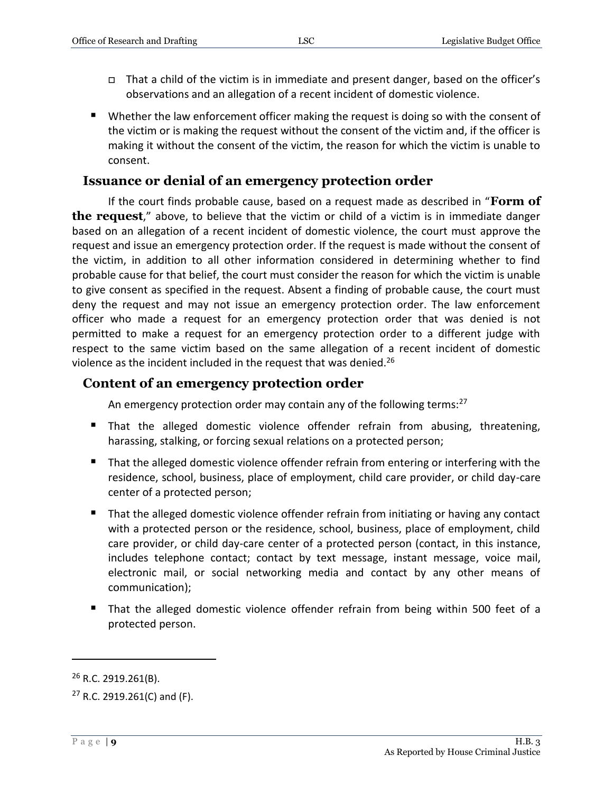- $\Box$  That a child of the victim is in immediate and present danger, based on the officer's observations and an allegation of a recent incident of domestic violence.
- Whether the law enforcement officer making the request is doing so with the consent of the victim or is making the request without the consent of the victim and, if the officer is making it without the consent of the victim, the reason for which the victim is unable to consent.

#### <span id="page-8-0"></span>**Issuance or denial of an emergency protection order**

If the court finds probable cause, based on a request made as described in "**Form of the request**," above, to believe that the victim or child of a victim is in immediate danger based on an allegation of a recent incident of domestic violence, the court must approve the request and issue an emergency protection order. If the request is made without the consent of the victim, in addition to all other information considered in determining whether to find probable cause for that belief, the court must consider the reason for which the victim is unable to give consent as specified in the request. Absent a finding of probable cause, the court must deny the request and may not issue an emergency protection order. The law enforcement officer who made a request for an emergency protection order that was denied is not permitted to make a request for an emergency protection order to a different judge with respect to the same victim based on the same allegation of a recent incident of domestic violence as the incident included in the request that was denied.<sup>26</sup>

#### <span id="page-8-1"></span>**Content of an emergency protection order**

An emergency protection order may contain any of the following terms:<sup>27</sup>

- That the alleged domestic violence offender refrain from abusing, threatening, harassing, stalking, or forcing sexual relations on a protected person;
- That the alleged domestic violence offender refrain from entering or interfering with the residence, school, business, place of employment, child care provider, or child day-care center of a protected person;
- That the alleged domestic violence offender refrain from initiating or having any contact with a protected person or the residence, school, business, place of employment, child care provider, or child day-care center of a protected person (contact, in this instance, includes telephone contact; contact by text message, instant message, voice mail, electronic mail, or social networking media and contact by any other means of communication);
- That the alleged domestic violence offender refrain from being within 500 feet of a protected person.

<sup>&</sup>lt;sup>26</sup> R.C. 2919.261(B).

 $27$  R.C. 2919.261(C) and (F).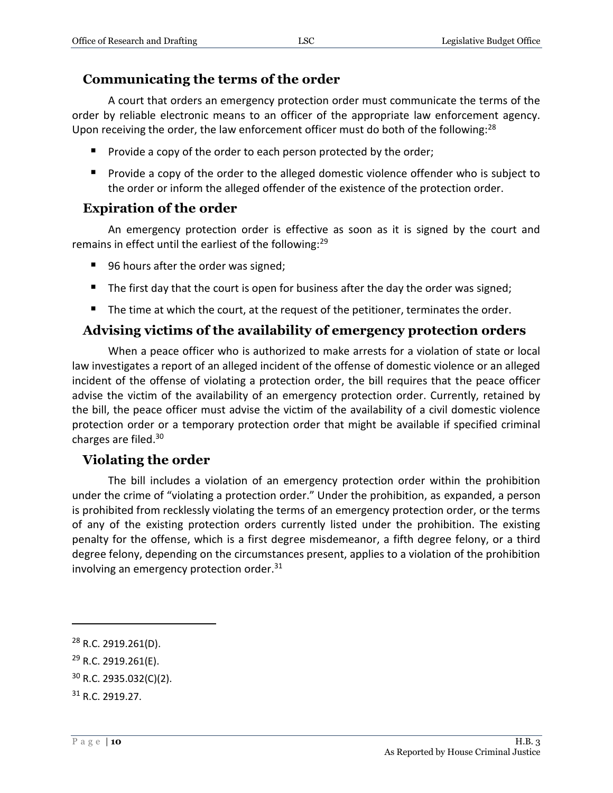#### <span id="page-9-0"></span>**Communicating the terms of the order**

A court that orders an emergency protection order must communicate the terms of the order by reliable electronic means to an officer of the appropriate law enforcement agency. Upon receiving the order, the law enforcement officer must do both of the following: $^{28}$ 

- **Provide a copy of the order to each person protected by the order;**
- **Provide a copy of the order to the alleged domestic violence offender who is subject to** the order or inform the alleged offender of the existence of the protection order.

#### <span id="page-9-1"></span>**Expiration of the order**

An emergency protection order is effective as soon as it is signed by the court and remains in effect until the earliest of the following:<sup>29</sup>

- 96 hours after the order was signed;
- $\blacksquare$  The first day that the court is open for business after the day the order was signed;
- The time at which the court, at the request of the petitioner, terminates the order.

#### <span id="page-9-2"></span>**Advising victims of the availability of emergency protection orders**

When a peace officer who is authorized to make arrests for a violation of state or local law investigates a report of an alleged incident of the offense of domestic violence or an alleged incident of the offense of violating a protection order, the bill requires that the peace officer advise the victim of the availability of an emergency protection order. Currently, retained by the bill, the peace officer must advise the victim of the availability of a civil domestic violence protection order or a temporary protection order that might be available if specified criminal charges are filed.<sup>30</sup>

#### <span id="page-9-3"></span>**Violating the order**

The bill includes a violation of an emergency protection order within the prohibition under the crime of "violating a protection order." Under the prohibition, as expanded, a person is prohibited from recklessly violating the terms of an emergency protection order, or the terms of any of the existing protection orders currently listed under the prohibition. The existing penalty for the offense, which is a first degree misdemeanor, a fifth degree felony, or a third degree felony, depending on the circumstances present, applies to a violation of the prohibition involving an emergency protection order. $31$ 

<sup>28</sup> R.C. 2919.261(D).

<sup>29</sup> R.C. 2919.261(E).

<sup>30</sup> R.C. 2935.032(C)(2).

<sup>31</sup> R.C. 2919.27.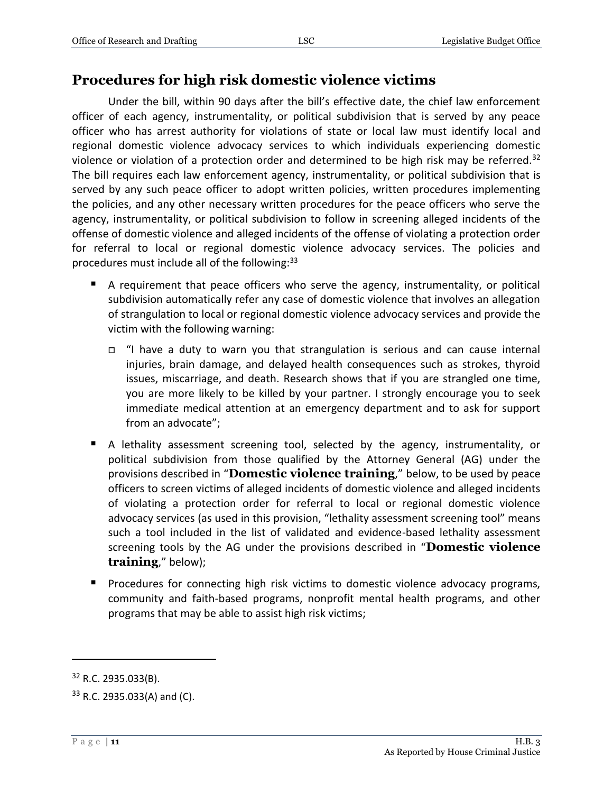#### <span id="page-10-0"></span>**Procedures for high risk domestic violence victims**

Under the bill, within 90 days after the bill's effective date, the chief law enforcement officer of each agency, instrumentality, or political subdivision that is served by any peace officer who has arrest authority for violations of state or local law must identify local and regional domestic violence advocacy services to which individuals experiencing domestic violence or violation of a protection order and determined to be high risk may be referred.<sup>32</sup> The bill requires each law enforcement agency, instrumentality, or political subdivision that is served by any such peace officer to adopt written policies, written procedures implementing the policies, and any other necessary written procedures for the peace officers who serve the agency, instrumentality, or political subdivision to follow in screening alleged incidents of the offense of domestic violence and alleged incidents of the offense of violating a protection order for referral to local or regional domestic violence advocacy services. The policies and procedures must include all of the following:<sup>33</sup>

- A requirement that peace officers who serve the agency, instrumentality, or political subdivision automatically refer any case of domestic violence that involves an allegation of strangulation to local or regional domestic violence advocacy services and provide the victim with the following warning:
	- $\Box$  "I have a duty to warn you that strangulation is serious and can cause internal injuries, brain damage, and delayed health consequences such as strokes, thyroid issues, miscarriage, and death. Research shows that if you are strangled one time, you are more likely to be killed by your partner. I strongly encourage you to seek immediate medical attention at an emergency department and to ask for support from an advocate";
- A lethality assessment screening tool, selected by the agency, instrumentality, or political subdivision from those qualified by the Attorney General (AG) under the provisions described in "**Domestic violence training**," below, to be used by peace officers to screen victims of alleged incidents of domestic violence and alleged incidents of violating a protection order for referral to local or regional domestic violence advocacy services (as used in this provision, "lethality assessment screening tool" means such a tool included in the list of validated and evidence-based lethality assessment screening tools by the AG under the provisions described in "**Domestic violence training**," below);
- **Procedures for connecting high risk victims to domestic violence advocacy programs,** community and faith-based programs, nonprofit mental health programs, and other programs that may be able to assist high risk victims;

<sup>32</sup> R.C. 2935.033(B).

<sup>33</sup> R.C. 2935.033(A) and (C).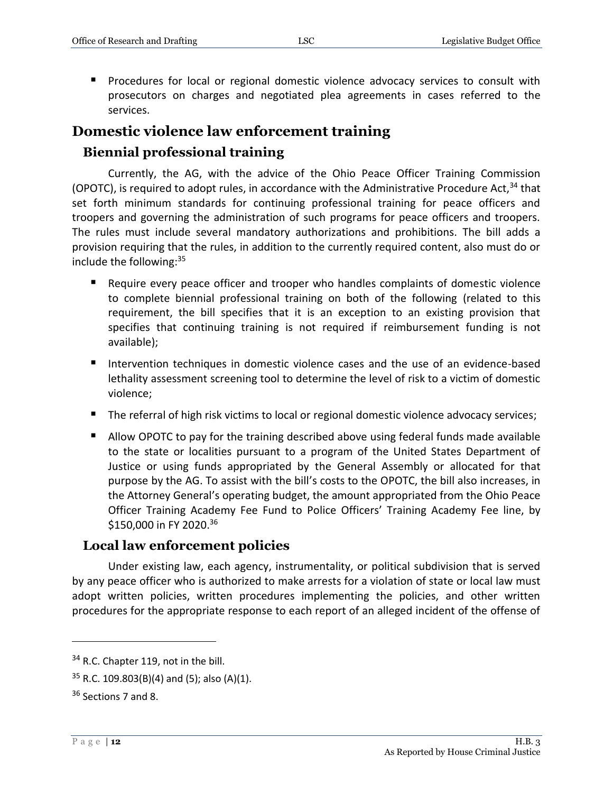**Procedures for local or regional domestic violence advocacy services to consult with** prosecutors on charges and negotiated plea agreements in cases referred to the services.

### <span id="page-11-0"></span>**Domestic violence law enforcement training**

#### <span id="page-11-1"></span>**Biennial professional training**

Currently, the AG, with the advice of the Ohio Peace Officer Training Commission (OPOTC), is required to adopt rules, in accordance with the Administrative Procedure Act,  $34$  that set forth minimum standards for continuing professional training for peace officers and troopers and governing the administration of such programs for peace officers and troopers. The rules must include several mandatory authorizations and prohibitions. The bill adds a provision requiring that the rules, in addition to the currently required content, also must do or include the following:<sup>35</sup>

- Require every peace officer and trooper who handles complaints of domestic violence to complete biennial professional training on both of the following (related to this requirement, the bill specifies that it is an exception to an existing provision that specifies that continuing training is not required if reimbursement funding is not available);
- Intervention techniques in domestic violence cases and the use of an evidence-based lethality assessment screening tool to determine the level of risk to a victim of domestic violence;
- The referral of high risk victims to local or regional domestic violence advocacy services;
- Allow OPOTC to pay for the training described above using federal funds made available to the state or localities pursuant to a program of the United States Department of Justice or using funds appropriated by the General Assembly or allocated for that purpose by the AG. To assist with the bill's costs to the OPOTC, the bill also increases, in the Attorney General's operating budget, the amount appropriated from the Ohio Peace Officer Training Academy Fee Fund to Police Officers' Training Academy Fee line, by \$150,000 in FY 2020.<sup>36</sup>

#### <span id="page-11-2"></span>**Local law enforcement policies**

Under existing law, each agency, instrumentality, or political subdivision that is served by any peace officer who is authorized to make arrests for a violation of state or local law must adopt written policies, written procedures implementing the policies, and other written procedures for the appropriate response to each report of an alleged incident of the offense of

<sup>&</sup>lt;sup>34</sup> R.C. Chapter 119, not in the bill.

 $35$  R.C. 109.803(B)(4) and (5); also (A)(1).

<sup>36</sup> Sections 7 and 8.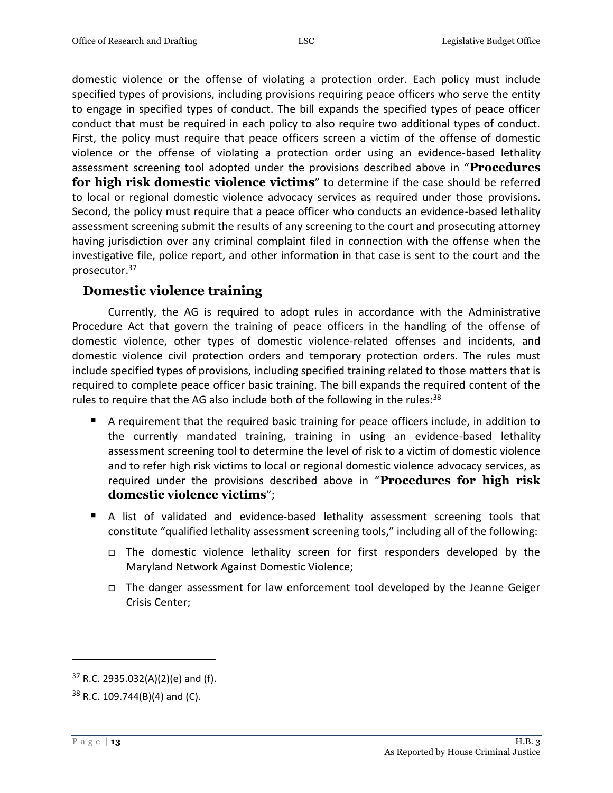domestic violence or the offense of violating a protection order. Each policy must include specified types of provisions, including provisions requiring peace officers who serve the entity to engage in specified types of conduct. The bill expands the specified types of peace officer conduct that must be required in each policy to also require two additional types of conduct. First, the policy must require that peace officers screen a victim of the offense of domestic violence or the offense of violating a protection order using an evidence-based lethality assessment screening tool adopted under the provisions described above in "**Procedures for high risk domestic violence victims**" to determine if the case should be referred to local or regional domestic violence advocacy services as required under those provisions. Second, the policy must require that a peace officer who conducts an evidence-based lethality assessment screening submit the results of any screening to the court and prosecuting attorney having jurisdiction over any criminal complaint filed in connection with the offense when the investigative file, police report, and other information in that case is sent to the court and the prosecutor.<sup>37</sup>

#### <span id="page-12-0"></span>**Domestic violence training**

Currently, the AG is required to adopt rules in accordance with the Administrative Procedure Act that govern the training of peace officers in the handling of the offense of domestic violence, other types of domestic violence-related offenses and incidents, and domestic violence civil protection orders and temporary protection orders. The rules must include specified types of provisions, including specified training related to those matters that is required to complete peace officer basic training. The bill expands the required content of the rules to require that the AG also include both of the following in the rules: $38$ 

- A requirement that the required basic training for peace officers include, in addition to the currently mandated training, training in using an evidence-based lethality assessment screening tool to determine the level of risk to a victim of domestic violence and to refer high risk victims to local or regional domestic violence advocacy services, as required under the provisions described above in "**Procedures for high risk domestic violence victims**";
- A list of validated and evidence-based lethality assessment screening tools that constitute "qualified lethality assessment screening tools," including all of the following:
	- The domestic violence lethality screen for first responders developed by the Maryland Network Against Domestic Violence;
	- The danger assessment for law enforcement tool developed by the Jeanne Geiger Crisis Center;

 $37$  R.C. 2935.032(A)(2)(e) and (f).

 $38$  R.C. 109.744(B)(4) and (C).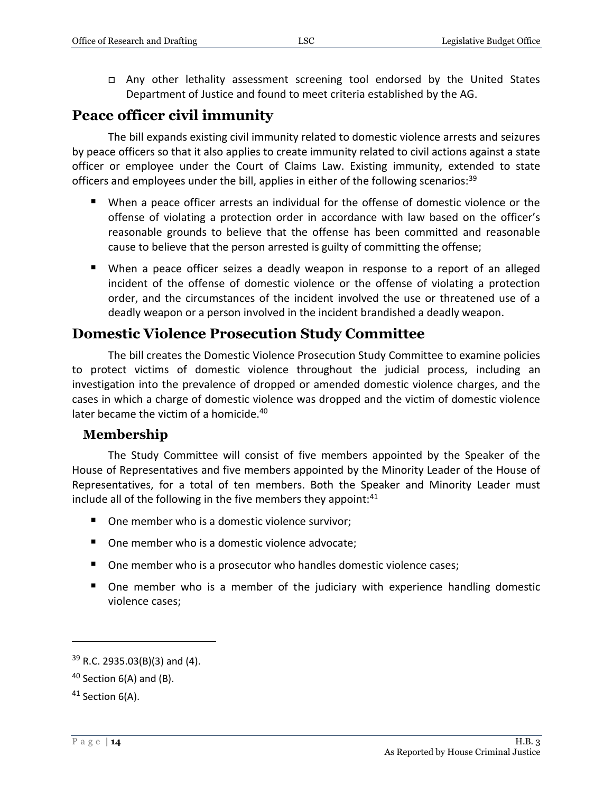□ Any other lethality assessment screening tool endorsed by the United States Department of Justice and found to meet criteria established by the AG.

### <span id="page-13-0"></span>**Peace officer civil immunity**

The bill expands existing civil immunity related to domestic violence arrests and seizures by peace officers so that it also applies to create immunity related to civil actions against a state officer or employee under the Court of Claims Law. Existing immunity, extended to state officers and employees under the bill, applies in either of the following scenarios:<sup>39</sup>

- When a peace officer arrests an individual for the offense of domestic violence or the offense of violating a protection order in accordance with law based on the officer's reasonable grounds to believe that the offense has been committed and reasonable cause to believe that the person arrested is guilty of committing the offense;
- When a peace officer seizes a deadly weapon in response to a report of an alleged incident of the offense of domestic violence or the offense of violating a protection order, and the circumstances of the incident involved the use or threatened use of a deadly weapon or a person involved in the incident brandished a deadly weapon.

#### <span id="page-13-1"></span>**Domestic Violence Prosecution Study Committee**

The bill creates the Domestic Violence Prosecution Study Committee to examine policies to protect victims of domestic violence throughout the judicial process, including an investigation into the prevalence of dropped or amended domestic violence charges, and the cases in which a charge of domestic violence was dropped and the victim of domestic violence later became the victim of a homicide.<sup>40</sup>

#### <span id="page-13-2"></span>**Membership**

The Study Committee will consist of five members appointed by the Speaker of the House of Representatives and five members appointed by the Minority Leader of the House of Representatives, for a total of ten members. Both the Speaker and Minority Leader must include all of the following in the five members they appoint: $41$ 

- One member who is a domestic violence survivor:
- One member who is a domestic violence advocate;
- One member who is a prosecutor who handles domestic violence cases;
- One member who is a member of the judiciary with experience handling domestic violence cases;

<sup>39</sup> R.C. 2935.03(B)(3) and (4).

 $40$  Section 6(A) and (B).

<sup>41</sup> Section 6(A).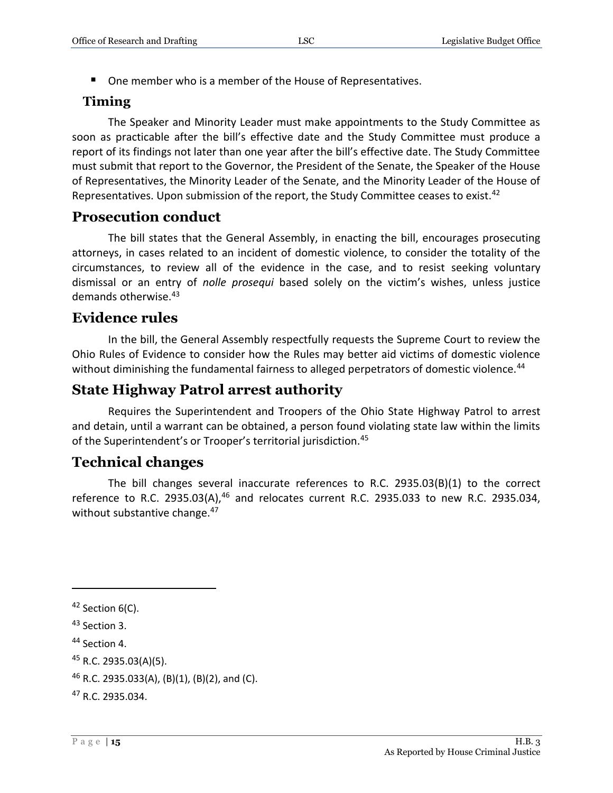■ One member who is a member of the House of Representatives.

#### <span id="page-14-0"></span>**Timing**

The Speaker and Minority Leader must make appointments to the Study Committee as soon as practicable after the bill's effective date and the Study Committee must produce a report of its findings not later than one year after the bill's effective date. The Study Committee must submit that report to the Governor, the President of the Senate, the Speaker of the House of Representatives, the Minority Leader of the Senate, and the Minority Leader of the House of Representatives. Upon submission of the report, the Study Committee ceases to exist.<sup>42</sup>

### <span id="page-14-1"></span>**Prosecution conduct**

The bill states that the General Assembly, in enacting the bill, encourages prosecuting attorneys, in cases related to an incident of domestic violence, to consider the totality of the circumstances, to review all of the evidence in the case, and to resist seeking voluntary dismissal or an entry of *nolle prosequi* based solely on the victim's wishes, unless justice demands otherwise.<sup>43</sup>

### <span id="page-14-2"></span>**Evidence rules**

In the bill, the General Assembly respectfully requests the Supreme Court to review the Ohio Rules of Evidence to consider how the Rules may better aid victims of domestic violence without diminishing the fundamental fairness to alleged perpetrators of domestic violence.<sup>44</sup>

### <span id="page-14-3"></span>**State Highway Patrol arrest authority**

Requires the Superintendent and Troopers of the Ohio State Highway Patrol to arrest and detain, until a warrant can be obtained, a person found violating state law within the limits of the Superintendent's or Trooper's territorial jurisdiction.<sup>45</sup>

## <span id="page-14-4"></span>**Technical changes**

The bill changes several inaccurate references to R.C. 2935.03(B)(1) to the correct reference to R.C. 2935.03(A), $46$  and relocates current R.C. 2935.033 to new R.C. 2935.034, without substantive change.<sup>47</sup>

<sup>&</sup>lt;sup>42</sup> Section 6(C).

<sup>43</sup> Section 3.

<sup>&</sup>lt;sup>44</sup> Section 4.

<sup>45</sup> R.C. 2935.03(A)(5).

<sup>46</sup> R.C. 2935.033(A), (B)(1), (B)(2), and (C).

<sup>47</sup> R.C. 2935.034.